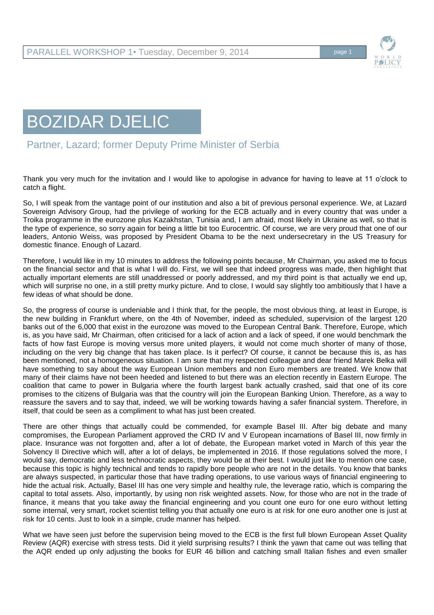

## BOZIDAR DJELIC

Partner, Lazard; former Deputy Prime Minister of Serbia

Thank you very much for the invitation and I would like to apologise in advance for having to leave at 11 o'clock to catch a flight.

So, I will speak from the vantage point of our institution and also a bit of previous personal experience. We, at Lazard Sovereign Advisory Group, had the privilege of working for the ECB actually and in every country that was under a Troika programme in the eurozone plus Kazakhstan, Tunisia and, I am afraid, most likely in Ukraine as well, so that is the type of experience, so sorry again for being a little bit too Eurocentric. Of course, we are very proud that one of our leaders, Antonio Weiss, was proposed by President Obama to be the next undersecretary in the US Treasury for domestic finance. Enough of Lazard.

Therefore, I would like in my 10 minutes to address the following points because, Mr Chairman, you asked me to focus on the financial sector and that is what I will do. First, we will see that indeed progress was made, then highlight that actually important elements are still unaddressed or poorly addressed, and my third point is that actually we end up, which will surprise no one, in a still pretty murky picture. And to close, I would say slightly too ambitiously that I have a few ideas of what should be done.

So, the progress of course is undeniable and I think that, for the people, the most obvious thing, at least in Europe, is the new building in Frankfurt where, on the 4th of November, indeed as scheduled, supervision of the largest 120 banks out of the 6,000 that exist in the eurozone was moved to the European Central Bank. Therefore, Europe, which is, as you have said, Mr Chairman, often criticised for a lack of action and a lack of speed, if one would benchmark the facts of how fast Europe is moving versus more united players, it would not come much shorter of many of those, including on the very big change that has taken place. Is it perfect? Of course, it cannot be because this is, as has been mentioned, not a homogeneous situation. I am sure that my respected colleague and dear friend Marek Belka will have something to say about the way European Union members and non Euro members are treated. We know that many of their claims have not been heeded and listened to but there was an election recently in Eastern Europe. The coalition that came to power in Bulgaria where the fourth largest bank actually crashed, said that one of its core promises to the citizens of Bulgaria was that the country will join the European Banking Union. Therefore, as a way to reassure the savers and to say that, indeed, we will be working towards having a safer financial system. Therefore, in itself, that could be seen as a compliment to what has just been created.

There are other things that actually could be commended, for example Basel III. After big debate and many compromises, the European Parliament approved the CRD IV and V European incarnations of Basel III, now firmly in place. Insurance was not forgotten and, after a lot of debate, the European market voted in March of this year the Solvency II Directive which will, after a lot of delays, be implemented in 2016. If those regulations solved the more, I would say, democratic and less technocratic aspects, they would be at their best. I would just like to mention one case, because this topic is highly technical and tends to rapidly bore people who are not in the details. You know that banks are always suspected, in particular those that have trading operations, to use various ways of financial engineering to hide the actual risk. Actually, Basel III has one very simple and healthy rule, the leverage ratio, which is comparing the capital to total assets. Also, importantly, by using non risk weighted assets. Now, for those who are not in the trade of finance, it means that you take away the financial engineering and you count one euro for one euro without letting some internal, very smart, rocket scientist telling you that actually one euro is at risk for one euro another one is just at risk for 10 cents. Just to look in a simple, crude manner has helped.

What we have seen just before the supervision being moved to the ECB is the first full blown European Asset Quality Review (AQR) exercise with stress tests. Did it yield surprising results? I think the yawn that came out was telling that the AQR ended up only adjusting the books for EUR 46 billion and catching small Italian fishes and even smaller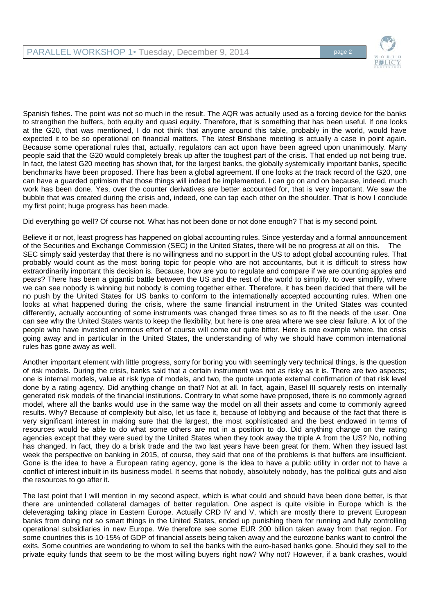

Spanish fishes. The point was not so much in the result. The AQR was actually used as a forcing device for the banks to strengthen the buffers, both equity and quasi equity. Therefore, that is something that has been useful. If one looks at the G20, that was mentioned, I do not think that anyone around this table, probably in the world, would have expected it to be so operational on financial matters. The latest Brisbane meeting is actually a case in point again. Because some operational rules that, actually, regulators can act upon have been agreed upon unanimously. Many people said that the G20 would completely break up after the toughest part of the crisis. That ended up not being true. In fact, the latest G20 meeting has shown that, for the largest banks, the globally systemically important banks, specific benchmarks have been proposed. There has been a global agreement. If one looks at the track record of the G20, one can have a guarded optimism that those things will indeed be implemented. I can go on and on because, indeed, much work has been done. Yes, over the counter derivatives are better accounted for, that is very important. We saw the bubble that was created during the crisis and, indeed, one can tap each other on the shoulder. That is how I conclude my first point; huge progress has been made.

Did everything go well? Of course not. What has not been done or not done enough? That is my second point.

Believe it or not, least progress has happened on global accounting rules. Since yesterday and a formal announcement of the Securities and Exchange Commission (SEC) in the United States, there will be no progress at all on this. The SEC simply said yesterday that there is no willingness and no support in the US to adopt global accounting rules. That probably would count as the most boring topic for people who are not accountants, but it is difficult to stress how extraordinarily important this decision is. Because, how are you to regulate and compare if we are counting apples and pears? There has been a gigantic battle between the US and the rest of the world to simplify, to over simplify, where we can see nobody is winning but nobody is coming together either. Therefore, it has been decided that there will be no push by the United States for US banks to conform to the internationally accepted accounting rules. When one looks at what happened during the crisis, where the same financial instrument in the United States was counted differently, actually accounting of some instruments was changed three times so as to fit the needs of the user. One can see why the United States wants to keep the flexibility, but here is one area where we see clear failure. A lot of the people who have invested enormous effort of course will come out quite bitter. Here is one example where, the crisis going away and in particular in the United States, the understanding of why we should have common international rules has gone away as well.

Another important element with little progress, sorry for boring you with seemingly very technical things, is the question of risk models. During the crisis, banks said that a certain instrument was not as risky as it is. There are two aspects; one is internal models, value at risk type of models, and two, the quote unquote external confirmation of that risk level done by a rating agency. Did anything change on that? Not at all. In fact, again, Basel III squarely rests on internally generated risk models of the financial institutions. Contrary to what some have proposed, there is no commonly agreed model, where all the banks would use in the same way the model on all their assets and come to commonly agreed results. Why? Because of complexity but also, let us face it, because of lobbying and because of the fact that there is very significant interest in making sure that the largest, the most sophisticated and the best endowed in terms of resources would be able to do what some others are not in a position to do. Did anything change on the rating agencies except that they were sued by the United States when they took away the triple A from the US? No, nothing has changed. In fact, they do a brisk trade and the two last years have been great for them. When they issued last week the perspective on banking in 2015, of course, they said that one of the problems is that buffers are insufficient. Gone is the idea to have a European rating agency, gone is the idea to have a public utility in order not to have a conflict of interest inbuilt in its business model. It seems that nobody, absolutely nobody, has the political guts and also the resources to go after it.

The last point that I will mention in my second aspect, which is what could and should have been done better, is that there are unintended collateral damages of better regulation. One aspect is quite visible in Europe which is the deleveraging taking place in Eastern Europe. Actually CRD IV and V, which are mostly there to prevent European banks from doing not so smart things in the United States, ended up punishing them for running and fully controlling operational subsidiaries in new Europe. We therefore see some EUR 200 billion taken away from that region. For some countries this is 10-15% of GDP of financial assets being taken away and the eurozone banks want to control the exits. Some countries are wondering to whom to sell the banks with the euro-based banks gone. Should they sell to the private equity funds that seem to be the most willing buyers right now? Why not? However, if a bank crashes, would